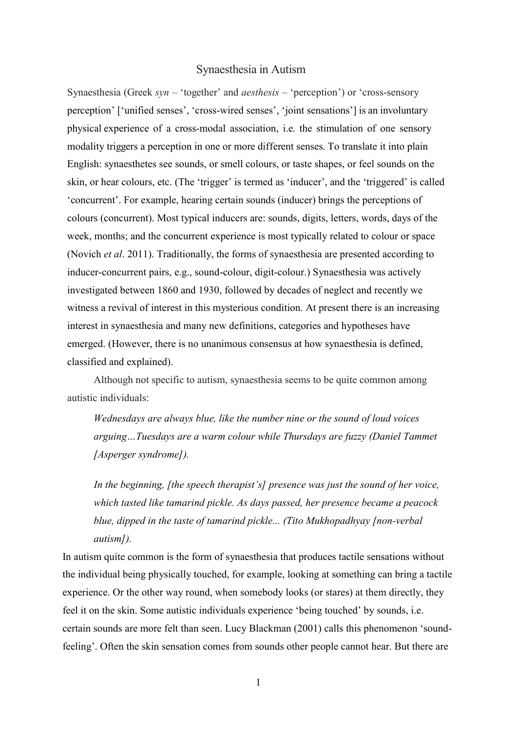# Synaesthesia in Autism

Synaesthesia (Greek *syn* – 'together' and *aesthesis* – 'perception') or 'cross-sensory perception' ['unified senses', 'cross-wired senses', 'joint sensations'] is an involuntary physical experience of a cross-modal association, i.e. the stimulation of one sensory modality triggers a perception in one or more different senses. To translate it into plain English: synaesthetes see sounds, or smell colours, or taste shapes, or feel sounds on the skin, or hear colours, etc. (The 'trigger' is termed as 'inducer', and the 'triggered' is called 'concurrent'. For example, hearing certain sounds (inducer) brings the perceptions of colours (concurrent). Most typical inducers are: sounds, digits, letters, words, days of the week, months; and the concurrent experience is most typically related to colour or space (Novich *et al*. 2011). Traditionally, the forms of synaesthesia are presented according to inducer-concurrent pairs, e.g., sound-colour, digit-colour.) Synaesthesia was actively investigated between 1860 and 1930, followed by decades of neglect and recently we witness a revival of interest in this mysterious condition. At present there is an increasing interest in synaesthesia and many new definitions, categories and hypotheses have emerged. (However, there is no unanimous consensus at how synaesthesia is defined, classified and explained).

Although not specific to autism, synaesthesia seems to be quite common among autistic individuals:

*Wednesdays are always blue, like the number nine or the sound of loud voices arguing…Tuesdays are a warm colour while Thursdays are fuzzy (Daniel Tammet [Asperger syndrome]).*

*In the beginning, [the speech therapist's] presence was just the sound of her voice, which tasted like tamarind pickle. As days passed, her presence became a peacock blue, dipped in the taste of tamarind pickle... (Tito Mukhopadhyay [non-verbal autism]).*

In autism quite common is the form of synaesthesia that produces tactile sensations without the individual being physically touched, for example, looking at something can bring a tactile experience. Or the other way round, when somebody looks (or stares) at them directly, they feel it on the skin. Some autistic individuals experience 'being touched' by sounds, i.e. certain sounds are more felt than seen. Lucy Blackman (2001) calls this phenomenon 'soundfeeling'. Often the skin sensation comes from sounds other people cannot hear. But there are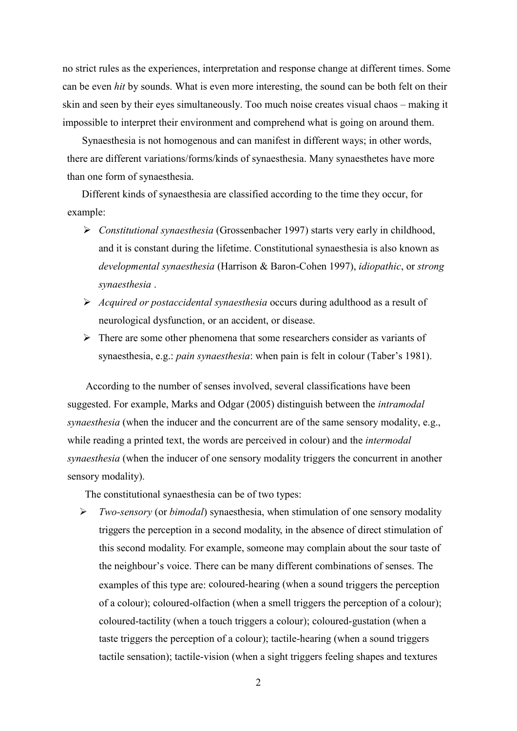no strict rules as the experiences, interpretation and response change at different times. Some can be even *hit* by sounds. What is even more interesting, the sound can be both felt on their skin and seen by their eyes simultaneously. Too much noise creates visual chaos – making it impossible to interpret their environment and comprehend what is going on around them.

Synaesthesia is not homogenous and can manifest in different ways; in other words, there are different variations/forms/kinds of synaesthesia. Many synaesthetes have more than one form of synaesthesia.

Different kinds of synaesthesia are classified according to the time they occur, for example:

- *Constitutional synaesthesia* (Grossenbacher 1997) starts very early in childhood, and it is constant during the lifetime. Constitutional synaesthesia is also known as *developmental synaesthesia* (Harrison & Baron-Cohen 1997), *idiopathic*, or *strong synaesthesia* .
- *Acquired or postaccidental synaesthesia* occurs during adulthood as a result of neurological dysfunction, or an accident, or disease.
- $\triangleright$  There are some other phenomena that some researchers consider as variants of synaesthesia, e.g.: *pain synaesthesia*: when pain is felt in colour (Taber's 1981).

 According to the number of senses involved, several classifications have been suggested. For example, Marks and Odgar (2005) distinguish between the *intramodal synaesthesia* (when the inducer and the concurrent are of the same sensory modality, e.g., while reading a printed text, the words are perceived in colour) and the *intermodal synaesthesia* (when the inducer of one sensory modality triggers the concurrent in another sensory modality).

The constitutional synaesthesia can be of two types:

 *Two-sensory* (or *bimodal*) synaesthesia, when stimulation of one sensory modality triggers the perception in a second modality, in the absence of direct stimulation of this second modality. For example, someone may complain about the sour taste of the neighbour's voice. There can be many different combinations of senses. The examples of this type are: coloured-hearing (when a sound triggers the perception of a colour); coloured-olfaction (when a smell triggers the perception of a colour); coloured-tactility (when a touch triggers a colour); coloured-gustation (when a taste triggers the perception of a colour); tactile-hearing (when a sound triggers tactile sensation); tactile-vision (when a sight triggers feeling shapes and textures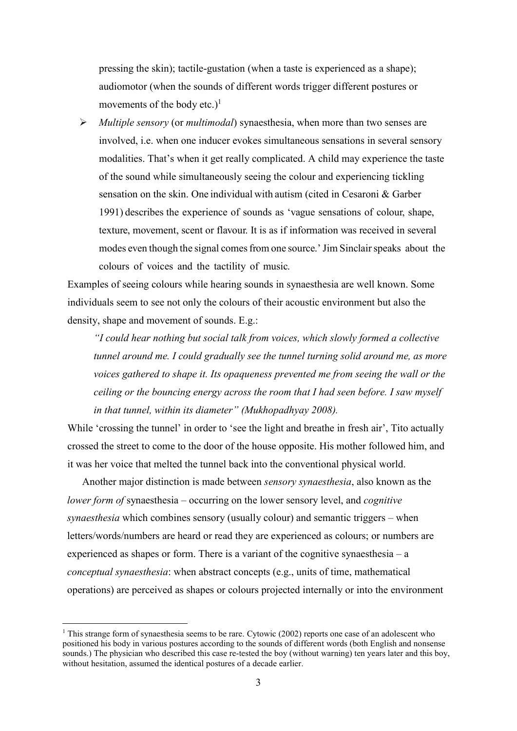pressing the skin); tactile-gustation (when a taste is experienced as a shape); audiomotor (when the sounds of different words trigger different postures or movements of the body etc.)<sup>1</sup>

 *Multiple sensory* (or *multimodal*) synaesthesia, when more than two senses are involved, i.e. when one inducer evokes simultaneous sensations in several sensory modalities. That's when it get really complicated. A child may experience the taste of the sound while simultaneously seeing the colour and experiencing tickling sensation on the skin. One individual with autism (cited in Cesaroni & Garber 1991) describes the experience of sounds as 'vague sensations of colour, shape, texture, movement, scent or flavour. It is as if information was received in several modes even though the signal comes from one source.' Jim Sinclair speaks about the colours of voices and the tactility of music.

Examples of seeing colours while hearing sounds in synaesthesia are well known. Some individuals seem to see not only the colours of their acoustic environment but also the density, shape and movement of sounds. E.g.:

*"I could hear nothing but social talk from voices, which slowly formed a collective tunnel around me. I could gradually see the tunnel turning solid around me, as more voices gathered to shape it. Its opaqueness prevented me from seeing the wall or the ceiling or the bouncing energy across the room that I had seen before. I saw myself in that tunnel, within its diameter" (Mukhopadhyay 2008).*

While 'crossing the tunnel' in order to 'see the light and breathe in fresh air', Tito actually crossed the street to come to the door of the house opposite. His mother followed him, and it was her voice that melted the tunnel back into the conventional physical world.

Another major distinction is made between *sensory synaesthesia*, also known as the *lower form of* synaesthesia – occurring on the lower sensory level, and *cognitive synaesthesia* which combines sensory (usually colour) and semantic triggers – when letters/words/numbers are heard or read they are experienced as colours; or numbers are experienced as shapes or form. There is a variant of the cognitive synaesthesia – a *conceptual synaesthesia*: when abstract concepts (e.g., units of time, mathematical operations) are perceived as shapes or colours projected internally or into the environment

<sup>&</sup>lt;sup>1</sup> This strange form of synaesthesia seems to be rare. Cytowic (2002) reports one case of an adolescent who positioned his body in various postures according to the sounds of different words (both English and nonsense sounds.) The physician who described this case re-tested the boy (without warning) ten years later and this boy, without hesitation, assumed the identical postures of a decade earlier.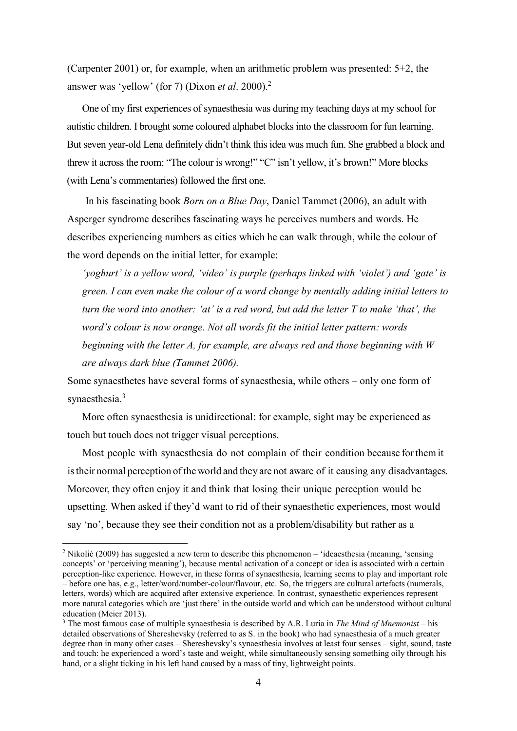(Carpenter 2001) or, for example, when an arithmetic problem was presented: 5+2, the answer was 'yellow' (for 7) (Dixon *et al*. 2000).<sup>2</sup>

One of my first experiences of synaesthesia was during my teaching days at my school for autistic children. I brought some coloured alphabet blocks into the classroom for fun learning. But seven year-old Lena definitely didn't think this idea was much fun. She grabbed a block and threw it across the room: "The colour is wrong!" "C" isn't yellow, it's brown!" More blocks (with Lena's commentaries) followed the first one.

 In his fascinating book *Born on a Blue Day*, Daniel Tammet (2006), an adult with Asperger syndrome describes fascinating ways he perceives numbers and words. He describes experiencing numbers as cities which he can walk through, while the colour of the word depends on the initial letter, for example:

*'yoghurt' is a yellow word, 'video' is purple (perhaps linked with 'violet') and 'gate' is green. I can even make the colour of a word change by mentally adding initial letters to turn the word into another: 'at' is a red word, but add the letter T to make 'that', the word's colour is now orange. Not all words fit the initial letter pattern: words beginning with the letter A, for example, are always red and those beginning with W are always dark blue (Tammet 2006).*

Some synaesthetes have several forms of synaesthesia, while others – only one form of synaesthesia.<sup>3</sup>

More often synaesthesia is unidirectional: for example, sight may be experienced as touch but touch does not trigger visual perceptions.

Most people with synaesthesia do not complain of their condition because forthemit istheir normal perception of the world and they are not aware of it causing any disadvantages. Moreover, they often enjoy it and think that losing their unique perception would be upsetting. When asked if they'd want to rid of their synaesthetic experiences, most would say 'no', because they see their condition not as a problem/disability but rather as a

<sup>2</sup> Nikolić (2009) has suggested a new term to describe this phenomenon – 'ideaesthesia (meaning, 'sensing concepts' or 'perceiving meaning'), because mental activation of a concept or idea is associated with a certain perception-like experience. However, in these forms of synaesthesia, learning seems to play and important role – before one has, e.g., letter/word/number-colour/flavour, etc. So, the triggers are cultural artefacts (numerals, letters, words) which are acquired after extensive experience. In contrast, synaesthetic experiences represent more natural categories which are 'just there' in the outside world and which can be understood without cultural education (Meier 2013).

<sup>3</sup> The most famous case of multiple synaesthesia is described by A.R. Luria in *The Mind of Mnemonist* – his detailed observations of Shereshevsky (referred to as S. in the book) who had synaesthesia of a much greater degree than in many other cases – Shereshevsky's synaesthesia involves at least four senses – sight, sound, taste and touch: he experienced a word's taste and weight, while simultaneously sensing something oily through his hand, or a slight ticking in his left hand caused by a mass of tiny, lightweight points.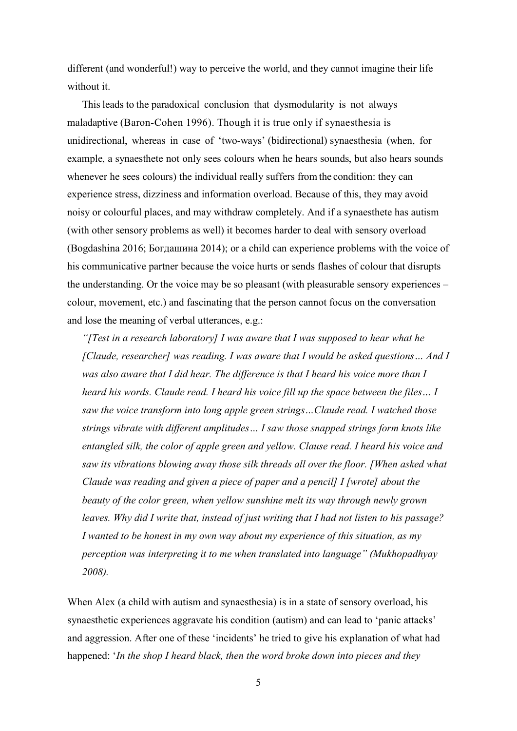different (and wonderful!) way to perceive the world, and they cannot imagine their life without it.

This leads to the paradoxical conclusion that dysmodularity is not always maladaptive (Baron-Cohen 1996). Though it is true only if synaesthesia is unidirectional, whereas in case of 'two-ways' (bidirectional) synaesthesia (when, for example, a synaesthete not only sees colours when he hears sounds, but also hears sounds whenever he sees colours) the individual really suffers fromthe condition: they can experience stress, dizziness and information overload. Because of this, they may avoid noisy or colourful places, and may withdraw completely. And if a synaesthete has autism (with other sensory problems as well) it becomes harder to deal with sensory overload (Bogdashina 2016; Богдашина 2014); or a child can experience problems with the voice of his communicative partner because the voice hurts or sends flashes of colour that disrupts the understanding. Or the voice may be so pleasant (with pleasurable sensory experiences – colour, movement, etc.) and fascinating that the person cannot focus on the conversation and lose the meaning of verbal utterances, e.g.:

*"*[Test in a research laboratory] I was aware that I was supposed to hear what he *[Claude, researcher] was reading. I was aware that I would be asked questions… And I was also aware that I did hear. The difference is that I heard his voice more than I heard his words. Claude read. I heard his voice fill up the space between the files… I saw the voice transform into long apple green strings…Claude read. I watched those strings vibrate with different amplitudes… I saw those snapped strings form knots like entangled silk, the color of apple green and yellow. Clause read. I heard his voice and saw its vibrations blowing away those silk threads all over the floor. [When asked what Claude was reading and given a piece of paper and a pencil] I [wrote] about the beauty of the color green, when yellow sunshine melt its way through newly grown leaves. Why did I write that, instead of just writing that I had not listen to his passage? I wanted to be honest in my own way about my experience of this situation, as my perception was interpreting it to me when translated into language" (Mukhopadhyay 2008).*

When Alex (a child with autism and synaesthesia) is in a state of sensory overload, his synaesthetic experiences aggravate his condition (autism) and can lead to 'panic attacks' and aggression. After one of these 'incidents' he tried to give his explanation of what had happened: '*In the shop I heard black, then the word broke down into pieces and they*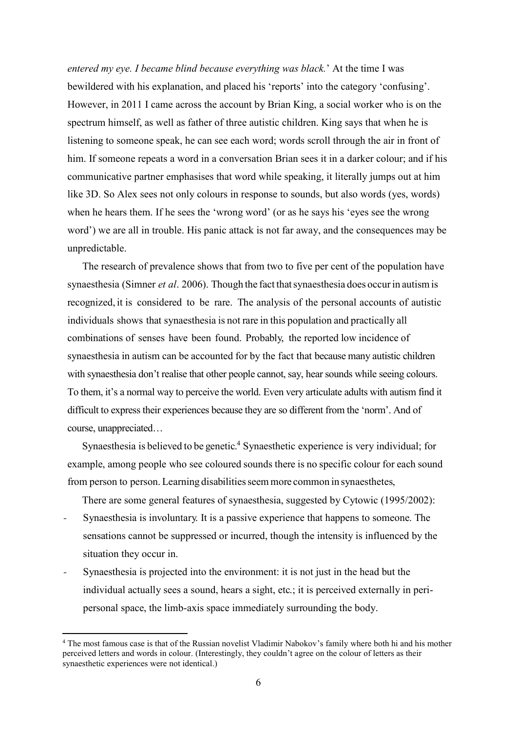*entered my eye. I became blind because everything was black.*' At the time I was bewildered with his explanation, and placed his 'reports' into the category 'confusing'. However, in 2011 I came across the account by Brian King, a social worker who is on the spectrum himself, as well as father of three autistic children. King says that when he is listening to someone speak, he can see each word; words scroll through the air in front of him. If someone repeats a word in a conversation Brian sees it in a darker colour; and if his communicative partner emphasises that word while speaking, it literally jumps out at him like 3D. So Alex sees not only colours in response to sounds, but also words (yes, words) when he hears them. If he sees the 'wrong word' (or as he says his 'eyes see the wrong word') we are all in trouble. His panic attack is not far away, and the consequences may be unpredictable.

The research of prevalence shows that from two to five per cent of the population have synaesthesia (Simner *et al.* 2006). Though the fact that synaesthesia does occur in autism is recognized, it is considered to be rare. The analysis of the personal accounts of autistic individuals shows that synaesthesia is not rare in this population and practically all combinations of senses have been found. Probably, the reported low incidence of synaesthesia in autism can be accounted for by the fact that because many autistic children with synaesthesia don't realise that other people cannot, say, hear sounds while seeing colours. To them, it's a normal way to perceive the world. Even very articulate adults with autism find it difficult to express their experiences because they are so different from the 'norm'. And of course, unappreciated…

Synaesthesia is believed to be genetic.<sup>4</sup> Synaesthetic experience is very individual; for example, among people who see coloured sounds there is no specific colour for each sound from person to person. Learning disabilities seem more common in synaesthetes,

There are some general features of synaesthesia, suggested by Cytowic (1995/2002):

- *-* Synaesthesia is involuntary. It is a passive experience that happens to someone. The sensations cannot be suppressed or incurred, though the intensity is influenced by the situation they occur in.
- *-* Synaesthesia is projected into the environment: it is not just in the head but the individual actually sees a sound, hears a sight, etc.; it is perceived externally in peripersonal space, the limb-axis space immediately surrounding the body.

<sup>4</sup> The most famous case is that of the Russian novelist Vladimir Nabokov's family where both hi and his mother perceived letters and words in colour. (Interestingly, they couldn't agree on the colour of letters as their synaesthetic experiences were not identical.)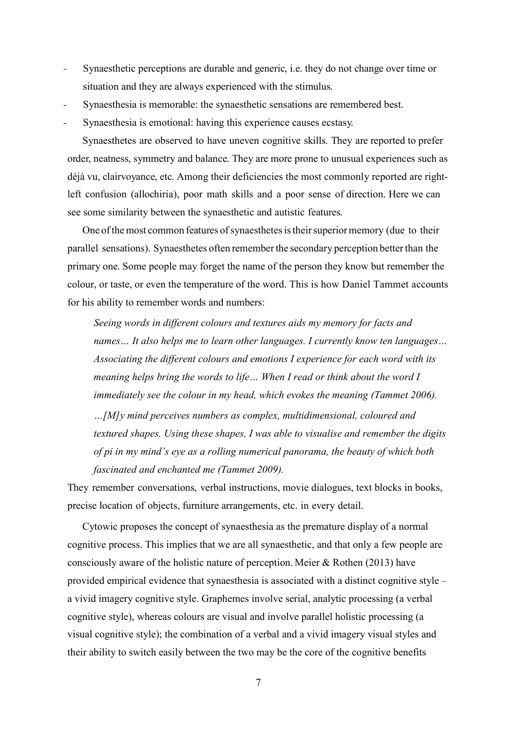- *-* Synaesthetic perceptions are durable and generic, i.e. they do not change over time or situation and they are always experienced with the stimulus.
- Synaesthesia is memorable: the synaesthetic sensations are remembered best.
- Synaesthesia is emotional: having this experience causes ecstasy.

Synaesthetes are observed to have uneven cognitive skills. They are reported to prefer order, neatness, symmetry and balance. They are more prone to unusual experiences such as déjà vu, clairvoyance, etc. Among their deficiencies the most commonly reported are rightleft confusion (allochiria), poor math skills and a poor sense of direction. Here we can see some similarity between the synaesthetic and autistic features.

One of the most common features of synaesthetes is their superior memory (due to their parallel sensations). Synaesthetes often rememberthe secondary perception betterthan the primary one. Some people may forget the name of the person they know but remember the colour, or taste, or even the temperature of the word. This is how Daniel Tammet accounts for his ability to remember words and numbers:

*Seeing words in different colours and textures aids my memory for facts and names… It also helps me to learn other languages. I currently know ten languages… Associating the different colours and emotions I experience for each word with its meaning helps bring the words to life… When I read or think about the word I immediately see the colour in my head, which evokes the meaning (Tammet 2006). …[M]y mind perceives numbers as complex, multidimensional, coloured and textured shapes. Using these shapes, I was able to visualise and remember the digits of pi in my mind's eye as a rolling numerical panorama, the beauty of which both* 

*fascinated and enchanted me (Tammet 2009).* 

They remember conversations, verbal instructions, movie dialogues, text blocks in books, precise location of objects, furniture arrangements, etc. in every detail.

Cytowic proposes the concept of synaesthesia as the premature display of a normal cognitive process. This implies that we are all synaesthetic, and that only a few people are consciously aware of the holistic nature of perception. Meier & Rothen (2013) have provided empirical evidence that synaesthesia is associated with a distinct cognitive style – a vivid imagery cognitive style. Graphemes involve serial, analytic processing (a verbal cognitive style), whereas colours are visual and involve parallel holistic processing (a visual cognitive style); the combination of a verbal and a vivid imagery visual styles and their ability to switch easily between the two may be the core of the cognitive benefits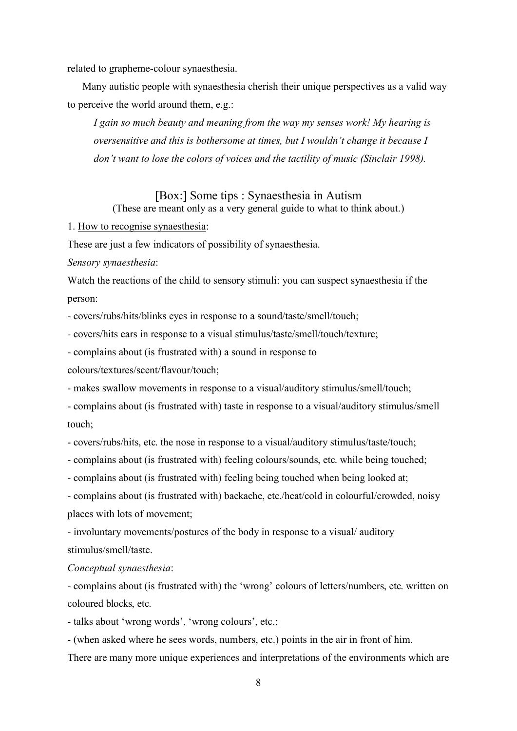related to grapheme-colour synaesthesia.

Many autistic people with synaesthesia cherish their unique perspectives as a valid way to perceive the world around them, e.g.:

*I gain so much beauty and meaning from the way my senses work! My hearing is oversensitive and this is bothersome at times, but I wouldn't change it because I don't want to lose the colors of voices and the tactility of music (Sinclair 1998).*

# [Box:] Some tips : Synaesthesia in Autism (These are meant only as a very general guide to what to think about.)

1. How to recognise synaesthesia:

These are just a few indicators of possibility of synaesthesia.

*Sensory synaesthesia*:

Watch the reactions of the child to sensory stimuli: you can suspect synaesthesia if the person:

- covers/rubs/hits/blinks eyes in response to a sound/taste/smell/touch;

*-* covers/hits ears in response to a visual stimulus/taste/smell/touch/texture;

- complains about (is frustrated with) a sound in response to

colours/textures/scent/flavour/touch;

- makes swallow movements in response to a visual/auditory stimulus/smell/touch;

- complains about (is frustrated with) taste in response to a visual/auditory stimulus/smell touch;

- covers/rubs/hits, etc. the nose in response to a visual/auditory stimulus/taste/touch;

- complains about (is frustrated with) feeling colours/sounds, etc. while being touched;
- complains about (is frustrated with) feeling being touched when being looked at;

- complains about (is frustrated with) backache, etc./heat/cold in colourful/crowded, noisy places with lots of movement;

- involuntary movements/postures of the body in response to a visual/ auditory stimulus/smell/taste.

### *Conceptual synaesthesia*:

- complains about (is frustrated with) the 'wrong' colours of letters/numbers, etc. written on coloured blocks, etc.

- talks about 'wrong words', 'wrong colours', etc.;

- (when asked where he sees words, numbers, etc.) points in the air in front of him.

There are many more unique experiences and interpretations of the environments which are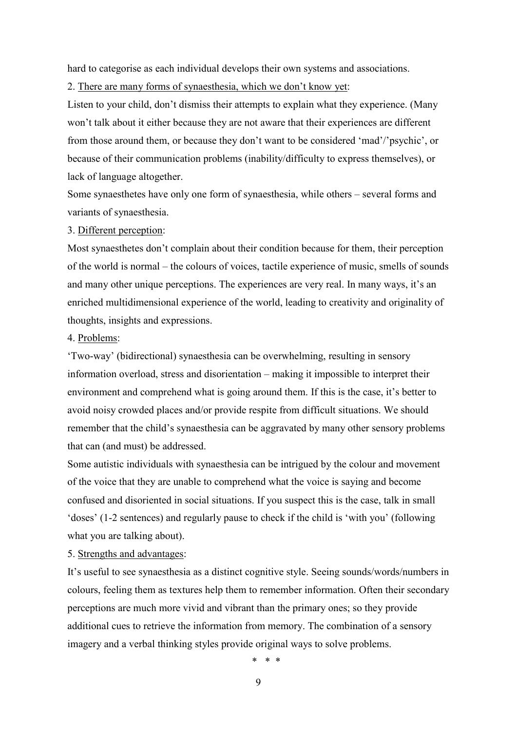hard to categorise as each individual develops their own systems and associations.

2. There are many forms of synaesthesia, which we don't know yet:

Listen to your child, don't dismiss their attempts to explain what they experience. (Many won't talk about it either because they are not aware that their experiences are different from those around them, or because they don't want to be considered 'mad'/'psychic', or because of their communication problems (inability/difficulty to express themselves), or lack of language altogether.

Some synaesthetes have only one form of synaesthesia, while others – several forms and variants of synaesthesia.

### 3. Different perception:

Most synaesthetes don't complain about their condition because for them, their perception of the world is normal – the colours of voices, tactile experience of music, smells of sounds and many other unique perceptions. The experiences are very real. In many ways, it's an enriched multidimensional experience of the world, leading to creativity and originality of thoughts, insights and expressions.

### 4. Problems:

'Two-way' (bidirectional) synaesthesia can be overwhelming, resulting in sensory information overload, stress and disorientation – making it impossible to interpret their environment and comprehend what is going around them. If this is the case, it's better to avoid noisy crowded places and/or provide respite from difficult situations. We should remember that the child's synaesthesia can be aggravated by many other sensory problems that can (and must) be addressed.

Some autistic individuals with synaesthesia can be intrigued by the colour and movement of the voice that they are unable to comprehend what the voice is saying and become confused and disoriented in social situations. If you suspect this is the case, talk in small 'doses' (1-2 sentences) and regularly pause to check if the child is 'with you' (following what you are talking about).

5. Strengths and advantages:

It's useful to see synaesthesia as a distinct cognitive style. Seeing sounds/words/numbers in colours, feeling them as textures help them to remember information. Often their secondary perceptions are much more vivid and vibrant than the primary ones; so they provide additional cues to retrieve the information from memory. The combination of a sensory imagery and a verbal thinking styles provide original ways to solve problems.

\* \* \*